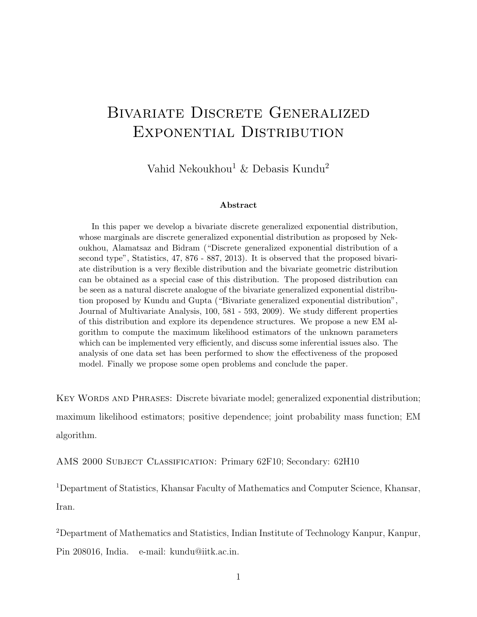# BIVARIATE DISCRETE GENERALIZED Exponential Distribution

Vahid Nekoukhou<sup>1</sup> & Debasis Kundu<sup>2</sup>

#### Abstract

In this paper we develop a bivariate discrete generalized exponential distribution, whose marginals are discrete generalized exponential distribution as proposed by Nekoukhou, Alamatsaz and Bidram ("Discrete generalized exponential distribution of a second type", Statistics, 47, 876 - 887, 2013). It is observed that the proposed bivariate distribution is a very flexible distribution and the bivariate geometric distribution can be obtained as a special case of this distribution. The proposed distribution can be seen as a natural discrete analogue of the bivariate generalized exponential distribution proposed by Kundu and Gupta ("Bivariate generalized exponential distribution", Journal of Multivariate Analysis, 100, 581 - 593, 2009). We study different properties of this distribution and explore its dependence structures. We propose a new EM algorithm to compute the maximum likelihood estimators of the unknown parameters which can be implemented very efficiently, and discuss some inferential issues also. The analysis of one data set has been performed to show the effectiveness of the proposed model. Finally we propose some open problems and conclude the paper.

KEY WORDS AND PHRASES: Discrete bivariate model; generalized exponential distribution; maximum likelihood estimators; positive dependence; joint probability mass function; EM algorithm.

AMS 2000 Subject Classification: Primary 62F10; Secondary: 62H10

<sup>1</sup>Department of Statistics, Khansar Faculty of Mathematics and Computer Science, Khansar, Iran.

<sup>2</sup>Department of Mathematics and Statistics, Indian Institute of Technology Kanpur, Kanpur, Pin 208016, India. e-mail: kundu@iitk.ac.in.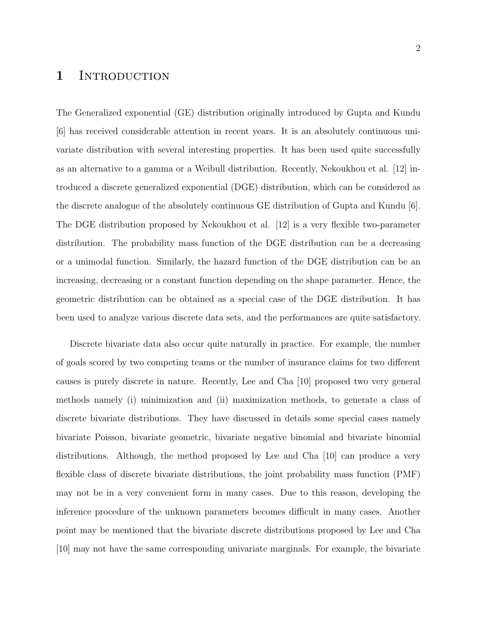### 1 INTRODUCTION

The Generalized exponential (GE) distribution originally introduced by Gupta and Kundu [6] has received considerable attention in recent years. It is an absolutely continuous univariate distribution with several interesting properties. It has been used quite successfully as an alternative to a gamma or a Weibull distribution. Recently, Nekoukhou et al. [12] introduced a discrete generalized exponential (DGE) distribution, which can be considered as the discrete analogue of the absolutely continuous GE distribution of Gupta and Kundu [6]. The DGE distribution proposed by Nekoukhou et al. [12] is a very flexible two-parameter distribution. The probability mass function of the DGE distribution can be a decreasing or a unimodal function. Similarly, the hazard function of the DGE distribution can be an increasing, decreasing or a constant function depending on the shape parameter. Hence, the geometric distribution can be obtained as a special case of the DGE distribution. It has been used to analyze various discrete data sets, and the performances are quite satisfactory.

Discrete bivariate data also occur quite naturally in practice. For example, the number of goals scored by two competing teams or the number of insurance claims for two different causes is purely discrete in nature. Recently, Lee and Cha [10] proposed two very general methods namely (i) minimization and (ii) maximization methods, to generate a class of discrete bivariate distributions. They have discussed in details some special cases namely bivariate Poisson, bivariate geometric, bivariate negative binomial and bivariate binomial distributions. Although, the method proposed by Lee and Cha [10] can produce a very flexible class of discrete bivariate distributions, the joint probability mass function (PMF) may not be in a very convenient form in many cases. Due to this reason, developing the inference procedure of the unknown parameters becomes difficult in many cases. Another point may be mentioned that the bivariate discrete distributions proposed by Lee and Cha [10] may not have the same corresponding univariate marginals. For example, the bivariate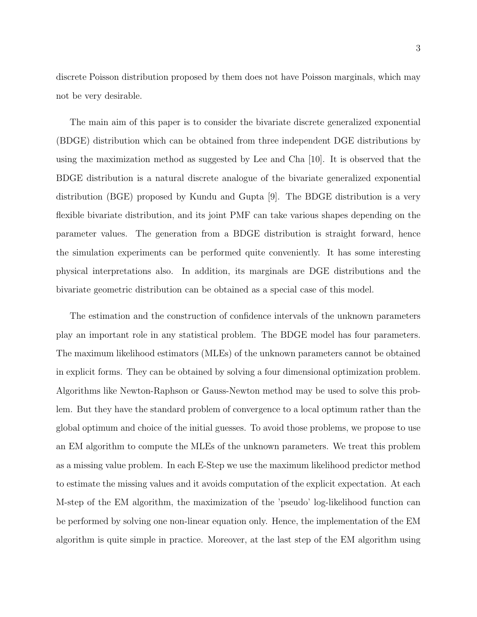discrete Poisson distribution proposed by them does not have Poisson marginals, which may not be very desirable.

The main aim of this paper is to consider the bivariate discrete generalized exponential (BDGE) distribution which can be obtained from three independent DGE distributions by using the maximization method as suggested by Lee and Cha [10]. It is observed that the BDGE distribution is a natural discrete analogue of the bivariate generalized exponential distribution (BGE) proposed by Kundu and Gupta [9]. The BDGE distribution is a very flexible bivariate distribution, and its joint PMF can take various shapes depending on the parameter values. The generation from a BDGE distribution is straight forward, hence the simulation experiments can be performed quite conveniently. It has some interesting physical interpretations also. In addition, its marginals are DGE distributions and the bivariate geometric distribution can be obtained as a special case of this model.

The estimation and the construction of confidence intervals of the unknown parameters play an important role in any statistical problem. The BDGE model has four parameters. The maximum likelihood estimators (MLEs) of the unknown parameters cannot be obtained in explicit forms. They can be obtained by solving a four dimensional optimization problem. Algorithms like Newton-Raphson or Gauss-Newton method may be used to solve this problem. But they have the standard problem of convergence to a local optimum rather than the global optimum and choice of the initial guesses. To avoid those problems, we propose to use an EM algorithm to compute the MLEs of the unknown parameters. We treat this problem as a missing value problem. In each E-Step we use the maximum likelihood predictor method to estimate the missing values and it avoids computation of the explicit expectation. At each M-step of the EM algorithm, the maximization of the 'pseudo' log-likelihood function can be performed by solving one non-linear equation only. Hence, the implementation of the EM algorithm is quite simple in practice. Moreover, at the last step of the EM algorithm using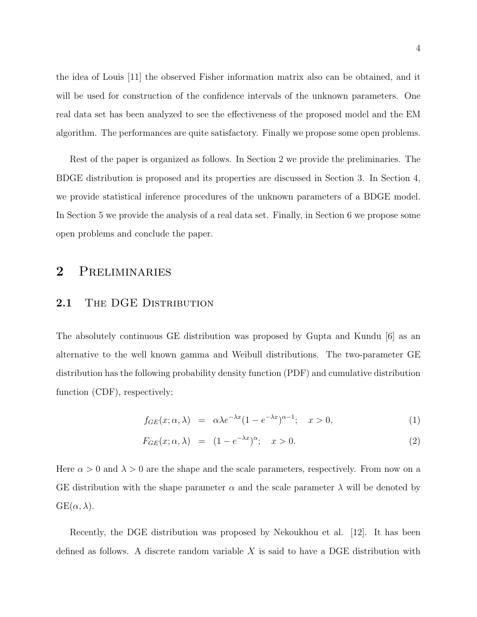the idea of Louis [11] the observed Fisher information matrix also can be obtained, and it will be used for construction of the confidence intervals of the unknown parameters. One real data set has been analyzed to see the effectiveness of the proposed model and the EM algorithm. The performances are quite satisfactory. Finally we propose some open problems.

Rest of the paper is organized as follows. In Section 2 we provide the preliminaries. The BDGE distribution is proposed and its properties are discussed in Section 3. In Section 4, we provide statistical inference procedures of the unknown parameters of a BDGE model. In Section 5 we provide the analysis of a real data set. Finally, in Section 6 we propose some open problems and conclude the paper.

## 2 Preliminaries

### 2.1 THE DGE DISTRIBUTION

The absolutely continuous GE distribution was proposed by Gupta and Kundu [6] as an alternative to the well known gamma and Weibull distributions. The two-parameter GE distribution has the following probability density function (PDF) and cumulative distribution function (CDF), respectively;

$$
f_{GE}(x; \alpha, \lambda) = \alpha \lambda e^{-\lambda x} (1 - e^{-\lambda x})^{\alpha - 1}; \quad x > 0,
$$
 (1)

$$
F_{GE}(x; \alpha, \lambda) = (1 - e^{-\lambda x})^{\alpha}; \quad x > 0.
$$
 (2)

Here  $\alpha > 0$  and  $\lambda > 0$  are the shape and the scale parameters, respectively. From now on a GE distribution with the shape parameter  $\alpha$  and the scale parameter  $\lambda$  will be denoted by  $GE(\alpha, \lambda)$ .

Recently, the DGE distribution was proposed by Nekoukhou et al. [12]. It has been defined as follows. A discrete random variable  $X$  is said to have a DGE distribution with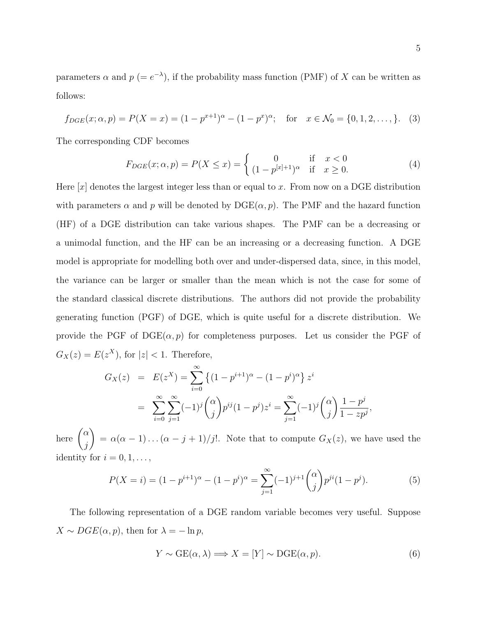parameters  $\alpha$  and  $p (= e^{-\lambda})$ , if the probability mass function (PMF) of X can be written as follows:

$$
f_{DGE}(x; \alpha, p) = P(X = x) = (1 - p^{x+1})^{\alpha} - (1 - p^{x})^{\alpha}; \text{ for } x \in \mathcal{N}_0 = \{0, 1, 2, \dots\}.
$$
 (3)

The corresponding CDF becomes

$$
F_{DGE}(x; \alpha, p) = P(X \le x) = \begin{cases} 0 & \text{if } x < 0\\ (1 - p^{[x]+1})^{\alpha} & \text{if } x \ge 0. \end{cases}
$$
 (4)

Here  $|x|$  denotes the largest integer less than or equal to x. From now on a DGE distribution with parameters  $\alpha$  and p will be denoted by  $\text{DGE}(\alpha, p)$ . The PMF and the hazard function (HF) of a DGE distribution can take various shapes. The PMF can be a decreasing or a unimodal function, and the HF can be an increasing or a decreasing function. A DGE model is appropriate for modelling both over and under-dispersed data, since, in this model, the variance can be larger or smaller than the mean which is not the case for some of the standard classical discrete distributions. The authors did not provide the probability generating function (PGF) of DGE, which is quite useful for a discrete distribution. We provide the PGF of  $DGE(\alpha, p)$  for completeness purposes. Let us consider the PGF of  $G_X(z) = E(z^X)$ , for  $|z| < 1$ . Therefore,

$$
G_X(z) = E(z^X) = \sum_{i=0}^{\infty} \left\{ (1 - p^{i+1})^{\alpha} - (1 - p^i)^{\alpha} \right\} z^i
$$
  
= 
$$
\sum_{i=0}^{\infty} \sum_{j=1}^{\infty} (-1)^j {\alpha \choose j} p^{ij} (1 - p^j) z^i = \sum_{j=1}^{\infty} (-1)^j {\alpha \choose j} \frac{1 - p^j}{1 - z p^j},
$$

here  $\int_{0}^{\alpha}$ j  $\setminus$  $= \alpha(\alpha - 1) \ldots (\alpha - j + 1)/j!$ . Note that to compute  $G_X(z)$ , we have used the identity for  $i = 0, 1, \ldots$ ,

$$
P(X = i) = (1 - p^{i+1})^{\alpha} - (1 - p^{i})^{\alpha} = \sum_{j=1}^{\infty} (-1)^{j+1} {\alpha \choose j} p^{ji} (1 - p^{j}).
$$
 (5)

The following representation of a DGE random variable becomes very useful. Suppose  $X \sim DGE(\alpha, p)$ , then for  $\lambda = -\ln p$ ,

$$
Y \sim \text{GE}(\alpha, \lambda) \Longrightarrow X = [Y] \sim \text{DGE}(\alpha, p). \tag{6}
$$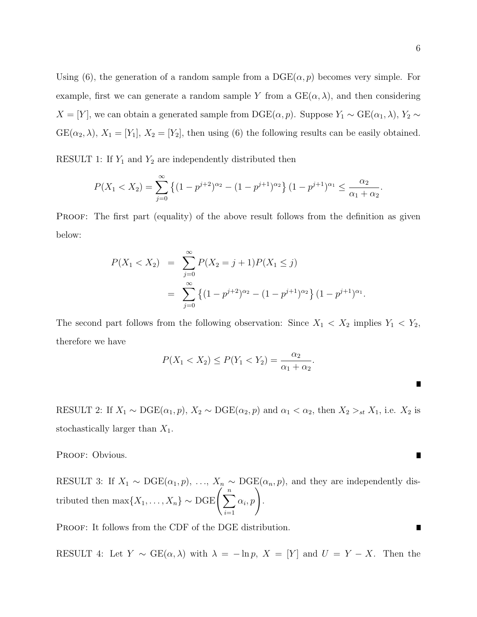Using (6), the generation of a random sample from a  $\mathrm{DGE}(\alpha, p)$  becomes very simple. For example, first we can generate a random sample Y from a  $GE(\alpha, \lambda)$ , and then considering  $X = [Y]$ , we can obtain a generated sample from DGE( $\alpha, p$ ). Suppose  $Y_1 \sim \text{GE}(\alpha_1, \lambda)$ ,  $Y_2 \sim$  $GE(\alpha_2, \lambda), X_1 = [Y_1], X_2 = [Y_2],$  then using (6) the following results can be easily obtained.

RESULT 1: If  $Y_1$  and  $Y_2$  are independently distributed then

$$
P(X_1 < X_2) = \sum_{j=0}^{\infty} \left\{ (1 - p^{j+2})^{\alpha_2} - (1 - p^{j+1})^{\alpha_2} \right\} (1 - p^{j+1})^{\alpha_1} \le \frac{\alpha_2}{\alpha_1 + \alpha_2}.
$$

PROOF: The first part (equality) of the above result follows from the definition as given below:

$$
P(X_1 < X_2) = \sum_{j=0}^{\infty} P(X_2 = j+1) P(X_1 \le j)
$$
\n
$$
= \sum_{j=0}^{\infty} \left\{ (1 - p^{j+2})^{\alpha_2} - (1 - p^{j+1})^{\alpha_2} \right\} (1 - p^{j+1})^{\alpha_1}.
$$

The second part follows from the following observation: Since  $X_1 < X_2$  implies  $Y_1 < Y_2$ , therefore we have

$$
P(X_1 < X_2) \le P(Y_1 < Y_2) = \frac{\alpha_2}{\alpha_1 + \alpha_2}.
$$

RESULT 2: If  $X_1 \sim \text{DGE}(\alpha_1, p)$ ,  $X_2 \sim \text{DGE}(\alpha_2, p)$  and  $\alpha_1 < \alpha_2$ , then  $X_2 >_{st} X_1$ , i.e.  $X_2$  is stochastically larger than  $X_1$ .

PROOF: Obvious.

RESULT 3: If  $X_1 \sim \text{DGE}(\alpha_1, p), \ldots, X_n \sim \text{DGE}(\alpha_n, p)$ , and they are independently distributed then  $\max\{X_1,\ldots,X_n\}\sim \text{DGE}\bigg(\sum_{n=1}^n\sum_{j=1}^n\sum_{j=1}^n\sum_{j=1}^n\sum_{j=1}^n\sum_{j=1}^n\sum_{j=1}^n\sum_{j=1}^n\sum_{j=1}^n\sum_{j=1}^n\sum_{j=1}^n\sum_{j=1}^n\sum_{j=1}^n\sum_{j=1}^n\sum_{j=1}^n\sum_{j=1}^n\sum_{j=1}^n\sum_{j=1}^n\sum_{j=1}^n\sum_{j=1}^n\sum_{$  $i=1$  $\alpha_i, p$ .

PROOF: It follows from the CDF of the DGE distribution.

RESULT 4: Let  $Y \sim \text{GE}(\alpha, \lambda)$  with  $\lambda = -\ln p$ ,  $X = [Y]$  and  $U = Y - X$ . Then the

 $\blacksquare$ 

 $\blacksquare$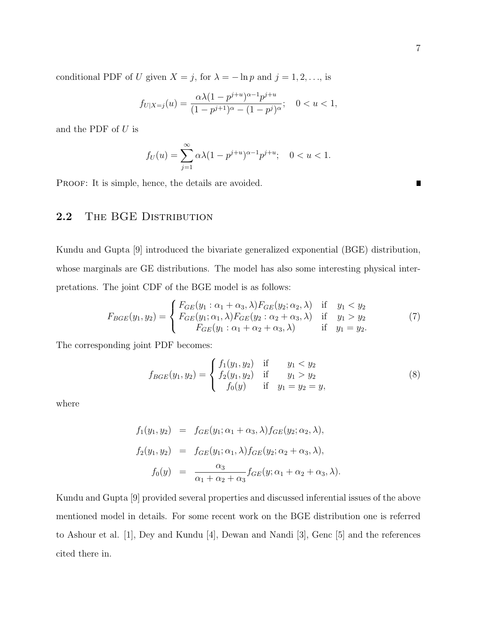conditional PDF of U given  $X = j$ , for  $\lambda = -\ln p$  and  $j = 1, 2, \dots$ , is

$$
f_{U|X=j}(u) = \frac{\alpha \lambda (1 - p^{j+u})^{\alpha - 1} p^{j+u}}{(1 - p^{j+1})^{\alpha} - (1 - p^j)^{\alpha}}; \quad 0 < u < 1,
$$

and the PDF of  $U$  is

$$
f_U(u) = \sum_{j=1}^{\infty} \alpha \lambda (1 - p^{j+u})^{\alpha - 1} p^{j+u}; \quad 0 < u < 1.
$$

PROOF: It is simple, hence, the details are avoided.

### 2.2 THE BGE DISTRIBUTION

Kundu and Gupta [9] introduced the bivariate generalized exponential (BGE) distribution, whose marginals are GE distributions. The model has also some interesting physical interpretations. The joint CDF of the BGE model is as follows:

$$
F_{BGE}(y_1, y_2) = \begin{cases} F_{GE}(y_1 : \alpha_1 + \alpha_3, \lambda) F_{GE}(y_2; \alpha_2, \lambda) & \text{if } y_1 < y_2 \\ F_{GE}(y_1; \alpha_1, \lambda) F_{GE}(y_2 : \alpha_2 + \alpha_3, \lambda) & \text{if } y_1 > y_2 \\ F_{GE}(y_1 : \alpha_1 + \alpha_2 + \alpha_3, \lambda) & \text{if } y_1 = y_2. \end{cases}
$$
(7)

The corresponding joint PDF becomes:

$$
f_{BGE}(y_1, y_2) = \begin{cases} f_1(y_1, y_2) & \text{if } y_1 < y_2 \\ f_2(y_1, y_2) & \text{if } y_1 > y_2 \\ f_0(y) & \text{if } y_1 = y_2 = y, \end{cases}
$$
 (8)

where

$$
f_1(y_1, y_2) = f_{GE}(y_1; \alpha_1 + \alpha_3, \lambda) f_{GE}(y_2; \alpha_2, \lambda),
$$
  
\n
$$
f_2(y_1, y_2) = f_{GE}(y_1; \alpha_1, \lambda) f_{GE}(y_2; \alpha_2 + \alpha_3, \lambda),
$$
  
\n
$$
f_0(y) = \frac{\alpha_3}{\alpha_1 + \alpha_2 + \alpha_3} f_{GE}(y; \alpha_1 + \alpha_2 + \alpha_3, \lambda).
$$

Kundu and Gupta [9] provided several properties and discussed inferential issues of the above mentioned model in details. For some recent work on the BGE distribution one is referred to Ashour et al. [1], Dey and Kundu [4], Dewan and Nandi [3], Genc [5] and the references cited there in.

 $\blacksquare$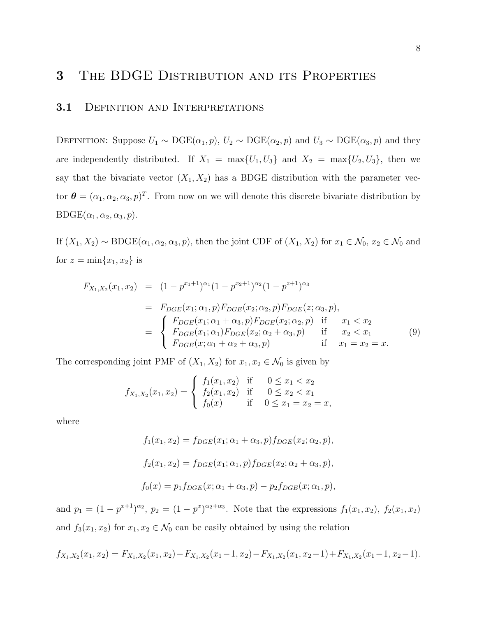# 3 THE BDGE DISTRIBUTION AND ITS PROPERTIES

#### 3.1 DEFINITION AND INTERPRETATIONS

DEFINITION: Suppose  $U_1 \sim \text{DGE}(\alpha_1, p)$ ,  $U_2 \sim \text{DGE}(\alpha_2, p)$  and  $U_3 \sim \text{DGE}(\alpha_3, p)$  and they are independently distributed. If  $X_1 = \max\{U_1, U_3\}$  and  $X_2 = \max\{U_2, U_3\}$ , then we say that the bivariate vector  $(X_1, X_2)$  has a BDGE distribution with the parameter vector  $\boldsymbol{\theta} = (\alpha_1, \alpha_2, \alpha_3, p)^T$ . From now on we will denote this discrete bivariate distribution by  $B\text{DGE}(\alpha_1, \alpha_2, \alpha_3, p).$ 

If  $(X_1, X_2) \sim \text{BDGE}(\alpha_1, \alpha_2, \alpha_3, p)$ , then the joint CDF of  $(X_1, X_2)$  for  $x_1 \in \mathcal{N}_0$ ,  $x_2 \in \mathcal{N}_0$  and for  $z = \min\{x_1, x_2\}$  is

$$
F_{X_1,X_2}(x_1, x_2) = (1 - p^{x_1+1})^{\alpha_1} (1 - p^{x_2+1})^{\alpha_2} (1 - p^{z+1})^{\alpha_3}
$$
  
\n
$$
= F_{DGE}(x_1; \alpha_1, p) F_{DGE}(x_2; \alpha_2, p) F_{DGE}(z; \alpha_3, p),
$$
  
\n
$$
= \begin{cases} F_{DGE}(x_1; \alpha_1 + \alpha_3, p) F_{DGE}(x_2; \alpha_2, p) & \text{if } x_1 < x_2 \\ F_{DGE}(x_1; \alpha_1) F_{DGE}(x_2; \alpha_2 + \alpha_3, p) & \text{if } x_2 < x_1 \\ F_{DGE}(x; \alpha_1 + \alpha_2 + \alpha_3, p) & \text{if } x_1 = x_2 = x. \end{cases}
$$
(9)

The corresponding joint PMF of  $(X_1, X_2)$  for  $x_1, x_2 \in \mathcal{N}_0$  is given by

$$
f_{X_1,X_2}(x_1,x_2) = \begin{cases} f_1(x_1,x_2) & \text{if } 0 \le x_1 < x_2 \\ f_2(x_1,x_2) & \text{if } 0 \le x_2 < x_1 \\ f_0(x) & \text{if } 0 \le x_1 = x_2 = x, \end{cases}
$$

where

$$
f_1(x_1, x_2) = f_{DGE}(x_1; \alpha_1 + \alpha_3, p) f_{DGE}(x_2; \alpha_2, p),
$$
  

$$
f_2(x_1, x_2) = f_{DGE}(x_1; \alpha_1, p) f_{DGE}(x_2; \alpha_2 + \alpha_3, p),
$$
  

$$
f_0(x) = p_1 f_{DGE}(x; \alpha_1 + \alpha_3, p) - p_2 f_{DGE}(x; \alpha_1, p),
$$

and  $p_1 = (1 - p^{x+1})^{\alpha_2}$ ,  $p_2 = (1 - p^x)^{\alpha_2 + \alpha_3}$ . Note that the expressions  $f_1(x_1, x_2)$ ,  $f_2(x_1, x_2)$ and  $f_3(x_1, x_2)$  for  $x_1, x_2 \in \mathcal{N}_0$  can be easily obtained by using the relation

$$
f_{X_1,X_2}(x_1,x_2) = F_{X_1,X_2}(x_1,x_2) - F_{X_1,X_2}(x_1-1,x_2) - F_{X_1,X_2}(x_1,x_2-1) + F_{X_1,X_2}(x_1-1,x_2-1).
$$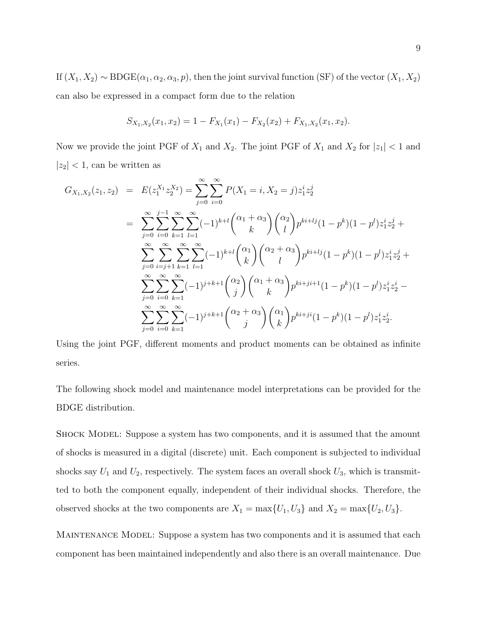If  $(X_1, X_2) \sim \text{BDE}(\alpha_1, \alpha_2, \alpha_3, p)$ , then the joint survival function (SF) of the vector  $(X_1, X_2)$ can also be expressed in a compact form due to the relation

$$
S_{X_1,X_2}(x_1,x_2)=1-F_{X_1}(x_1)-F_{X_2}(x_2)+F_{X_1,X_2}(x_1,x_2).
$$

Now we provide the joint PGF of  $X_1$  and  $X_2$ . The joint PGF of  $X_1$  and  $X_2$  for  $|z_1| < 1$  and  $|z_2|$  < 1, can be written as

$$
G_{X_1,X_2}(z_1, z_2) = E(z_1^{X_1} z_2^{X_2}) = \sum_{j=0}^{\infty} \sum_{i=0}^{\infty} P(X_1 = i, X_2 = j) z_1^i z_2^j
$$
  
\n
$$
= \sum_{j=0}^{\infty} \sum_{i=0}^{j-1} \sum_{k=1}^{\infty} \sum_{l=1}^{\infty} (-1)^{k+l} {(\alpha_1 + \alpha_3) (\alpha_2) \choose l} p^{ki+lj} (1 - p^k) (1 - p^l) z_1^i z_2^j +
$$
  
\n
$$
\sum_{j=0}^{\infty} \sum_{i=j+1}^{\infty} \sum_{k=1}^{\infty} \sum_{l=1}^{\infty} (-1)^{k+l} {(\alpha_1) (\alpha_2 + \alpha_3) \choose l} p^{ki+lj} (1 - p^k) (1 - p^l) z_1^i z_2^j +
$$
  
\n
$$
\sum_{j=0}^{\infty} \sum_{i=0}^{\infty} \sum_{k=1}^{\infty} (-1)^{j+k+1} {(\alpha_2) (\alpha_1 + \alpha_3) \choose j} p^{ki+ji+1} (1 - p^k) (1 - p^l) z_1^i z_2^i -
$$
  
\n
$$
\sum_{j=0}^{\infty} \sum_{i=0}^{\infty} \sum_{k=1}^{\infty} (-1)^{j+k+1} {(\alpha_2 + \alpha_3) (\alpha_1) \choose j} p^{ki+ji} (1 - p^k) (1 - p^l) z_1^i z_2^i.
$$

Using the joint PGF, different moments and product moments can be obtained as infinite series.

The following shock model and maintenance model interpretations can be provided for the BDGE distribution.

Shock Model: Suppose a system has two components, and it is assumed that the amount of shocks is measured in a digital (discrete) unit. Each component is subjected to individual shocks say  $U_1$  and  $U_2$ , respectively. The system faces an overall shock  $U_3$ , which is transmitted to both the component equally, independent of their individual shocks. Therefore, the observed shocks at the two components are  $X_1 = \max\{U_1, U_3\}$  and  $X_2 = \max\{U_2, U_3\}.$ 

MAINTENANCE MODEL: Suppose a system has two components and it is assumed that each component has been maintained independently and also there is an overall maintenance. Due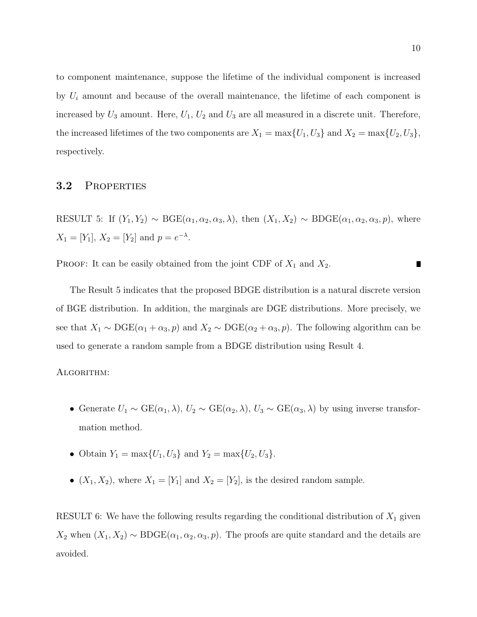to component maintenance, suppose the lifetime of the individual component is increased by  $U_i$  amount and because of the overall maintenance, the lifetime of each component is increased by  $U_3$  amount. Here,  $U_1$ ,  $U_2$  and  $U_3$  are all measured in a discrete unit. Therefore, the increased lifetimes of the two components are  $X_1 = \max\{U_1, U_3\}$  and  $X_2 = \max\{U_2, U_3\}$ , respectively.

#### 3.2 Properties

RESULT 5: If  $(Y_1, Y_2) \sim \text{BGE}(\alpha_1, \alpha_2, \alpha_3, \lambda)$ , then  $(X_1, X_2) \sim \text{BDGE}(\alpha_1, \alpha_2, \alpha_3, p)$ , where  $X_1 = [Y_1], X_2 = [Y_2] \text{ and } p = e^{-\lambda}.$ 

PROOF: It can be easily obtained from the joint CDF of  $X_1$  and  $X_2$ . П

The Result 5 indicates that the proposed BDGE distribution is a natural discrete version of BGE distribution. In addition, the marginals are DGE distributions. More precisely, we see that  $X_1 \sim \text{DGE}(\alpha_1 + \alpha_3, p)$  and  $X_2 \sim \text{DGE}(\alpha_2 + \alpha_3, p)$ . The following algorithm can be used to generate a random sample from a BDGE distribution using Result 4.

#### Algorithm:

- Generate  $U_1 \sim \text{GE}(\alpha_1, \lambda), U_2 \sim \text{GE}(\alpha_2, \lambda), U_3 \sim \text{GE}(\alpha_3, \lambda)$  by using inverse transformation method.
- Obtain  $Y_1 = \max\{U_1, U_3\}$  and  $Y_2 = \max\{U_2, U_3\}.$
- $(X_1, X_2)$ , where  $X_1 = [Y_1]$  and  $X_2 = [Y_2]$ , is the desired random sample.

RESULT 6: We have the following results regarding the conditional distribution of  $X_1$  given  $X_2$  when  $(X_1, X_2) \sim \text{BDGE}(\alpha_1, \alpha_2, \alpha_3, p)$ . The proofs are quite standard and the details are avoided.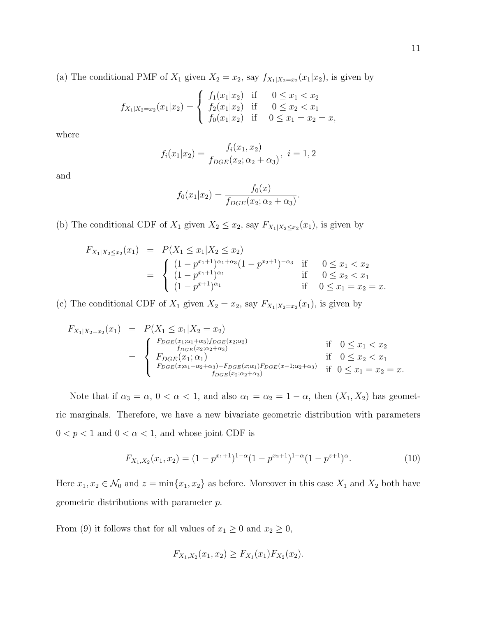(a) The conditional PMF of  $X_1$  given  $X_2 = x_2$ , say  $f_{X_1|X_2=x_2}(x_1|x_2)$ , is given by

$$
f_{X_1|X_2=x_2}(x_1|x_2) = \begin{cases} f_1(x_1|x_2) & \text{if } 0 \le x_1 < x_2 \\ f_2(x_1|x_2) & \text{if } 0 \le x_2 < x_1 \\ f_0(x_1|x_2) & \text{if } 0 \le x_1 = x_2 = x, \end{cases}
$$

where

$$
f_i(x_1|x_2) = \frac{f_i(x_1, x_2)}{f_{DGE}(x_2; \alpha_2 + \alpha_3)}, \ i = 1, 2
$$

and

$$
f_0(x_1|x_2) = \frac{f_0(x)}{f_{DGE}(x_2; \alpha_2 + \alpha_3)}.
$$

(b) The conditional CDF of  $X_1$  given  $X_2 \leq x_2$ , say  $F_{X_1|X_2 \leq x_2}(x_1)$ , is given by

$$
F_{X_1|X_2 \le x_2}(x_1) = P(X_1 \le x_1 | X_2 \le x_2)
$$
  
= 
$$
\begin{cases} (1 - p^{x_1+1})^{\alpha_1 + \alpha_3} (1 - p^{x_2+1})^{-\alpha_3} & \text{if } 0 \le x_1 < x_2 \\ (1 - p^{x_1+1})^{\alpha_1} & \text{if } 0 \le x_2 < x_1 \\ (1 - p^{x+1})^{\alpha_1} & \text{if } 0 \le x_1 = x_2 = x. \end{cases}
$$

(c) The conditional CDF of  $X_1$  given  $X_2 = x_2$ , say  $F_{X_1|X_2=x_2}(x_1)$ , is given by

$$
F_{X_1|X_2=x_2}(x_1) = P(X_1 \le x_1 | X_2 = x_2)
$$
  
\n
$$
= \begin{cases} \frac{F_{DGE}(x_1; \alpha_1 + \alpha_3) f_{DGE}(x_2; \alpha_2)}{f_{DGE}(x_2; \alpha_2 + \alpha_3)} & \text{if } 0 \le x_1 < x_2 \\ F_{DGE}(x_1; \alpha_1) & \text{if } 0 \le x_2 < x_1 \\ \frac{F_{DGE}(x; \alpha_1 + \alpha_2 + \alpha_3) - F_{DGE}(x; \alpha_1) F_{DGE}(x-1; \alpha_2 + \alpha_3)}{f_{DGE}(x_2; \alpha_2 + \alpha_3)} & \text{if } 0 \le x_1 = x_2 = x. \end{cases}
$$

Note that if  $\alpha_3 = \alpha$ ,  $0 < \alpha < 1$ , and also  $\alpha_1 = \alpha_2 = 1 - \alpha$ , then  $(X_1, X_2)$  has geometric marginals. Therefore, we have a new bivariate geometric distribution with parameters  $0 < p < 1$  and  $0 < \alpha < 1$ , and whose joint CDF is

$$
F_{X_1,X_2}(x_1,x_2) = (1 - p^{x_1+1})^{1-\alpha} (1 - p^{x_2+1})^{1-\alpha} (1 - p^{z+1})^{\alpha}.
$$
 (10)

Here  $x_1, x_2 \in \mathcal{N}_0$  and  $z = \min\{x_1, x_2\}$  as before. Moreover in this case  $X_1$  and  $X_2$  both have geometric distributions with parameter p.

From (9) it follows that for all values of  $x_1 \ge 0$  and  $x_2 \ge 0$ ,

$$
F_{X_1,X_2}(x_1,x_2) \geq F_{X_1}(x_1)F_{X_2}(x_2).
$$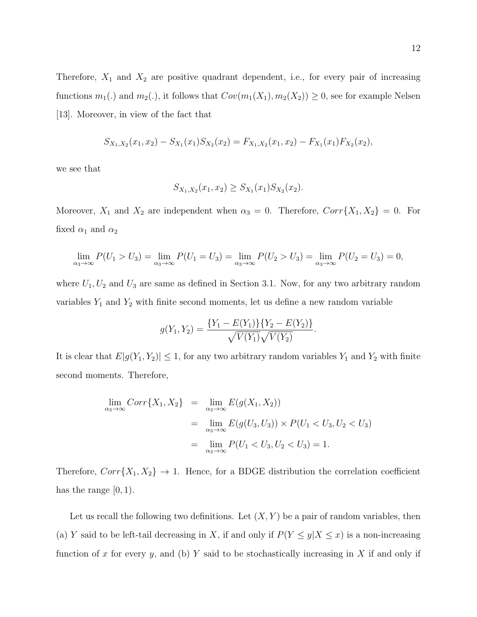Therefore,  $X_1$  and  $X_2$  are positive quadrant dependent, i.e., for every pair of increasing functions  $m_1(.)$  and  $m_2(.)$ , it follows that  $Cov(m_1(X_1), m_2(X_2)) \geq 0$ , see for example Nelsen [13]. Moreover, in view of the fact that

$$
S_{X_1,X_2}(x_1,x_2)-S_{X_1}(x_1)S_{X_2}(x_2)=F_{X_1,X_2}(x_1,x_2)-F_{X_1}(x_1)F_{X_2}(x_2),
$$

we see that

$$
S_{X_1,X_2}(x_1,x_2) \geq S_{X_1}(x_1)S_{X_2}(x_2).
$$

Moreover,  $X_1$  and  $X_2$  are independent when  $\alpha_3 = 0$ . Therefore,  $Corr\{X_1, X_2\} = 0$ . For fixed  $\alpha_1$  and  $\alpha_2$ 

$$
\lim_{\alpha_3 \to \infty} P(U_1 > U_3) = \lim_{\alpha_3 \to \infty} P(U_1 = U_3) = \lim_{\alpha_3 \to \infty} P(U_2 > U_3) = \lim_{\alpha_3 \to \infty} P(U_2 = U_3) = 0,
$$

where  $U_1, U_2$  and  $U_3$  are same as defined in Section 3.1. Now, for any two arbitrary random variables  $Y_1$  and  $Y_2$  with finite second moments, let us define a new random variable

$$
g(Y_1, Y_2) = \frac{\{Y_1 - E(Y_1)\}\{Y_2 - E(Y_2)\}}{\sqrt{V(Y_1)}\sqrt{V(Y_2)}}.
$$

It is clear that  $E|g(Y_1, Y_2)| \leq 1$ , for any two arbitrary random variables  $Y_1$  and  $Y_2$  with finite second moments. Therefore,

$$
\lim_{\alpha_3 \to \infty} Corr\{X_1, X_2\} = \lim_{\alpha_3 \to \infty} E(g(X_1, X_2))
$$
  
= 
$$
\lim_{\alpha_3 \to \infty} E(g(U_3, U_3)) \times P(U_1 < U_3, U_2 < U_3)
$$
  
= 
$$
\lim_{\alpha_3 \to \infty} P(U_1 < U_3, U_2 < U_3) = 1.
$$

Therefore,  $Corr{X_1, X_2} \rightarrow 1$ . Hence, for a BDGE distribution the correlation coefficient has the range  $[0, 1)$ .

Let us recall the following two definitions. Let  $(X, Y)$  be a pair of random variables, then (a) Y said to be left-tail decreasing in X, if and only if  $P(Y \le y | X \le x)$  is a non-increasing function of x for every y, and (b) Y said to be stochastically increasing in X if and only if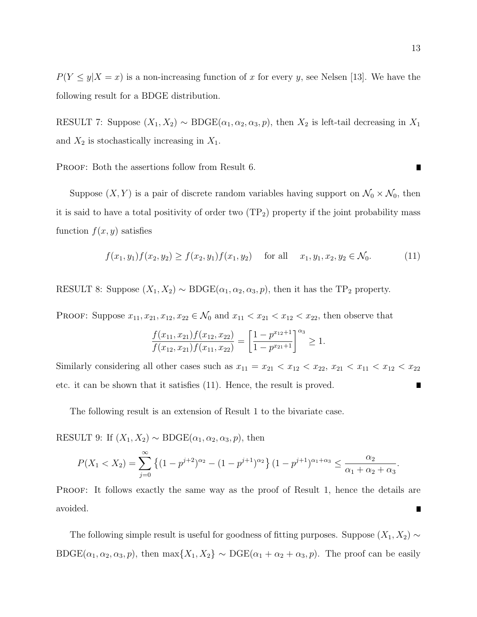$P(Y \le y | X = x)$  is a non-increasing function of x for every y, see Nelsen [13]. We have the following result for a BDGE distribution.

RESULT 7: Suppose  $(X_1, X_2) \sim \text{BOGE}(\alpha_1, \alpha_2, \alpha_3, p)$ , then  $X_2$  is left-tail decreasing in  $X_1$ and  $X_2$  is stochastically increasing in  $X_1$ .

PROOF: Both the assertions follow from Result 6.

Suppose  $(X, Y)$  is a pair of discrete random variables having support on  $\mathcal{N}_0 \times \mathcal{N}_0$ , then it is said to have a total positivity of order two  $(TP_2)$  property if the joint probability mass function  $f(x, y)$  satisfies

$$
f(x_1, y_1) f(x_2, y_2) \ge f(x_2, y_1) f(x_1, y_2) \quad \text{for all} \quad x_1, y_1, x_2, y_2 \in \mathcal{N}_0. \tag{11}
$$

RESULT 8: Suppose  $(X_1, X_2) \sim \text{BDE}(\alpha_1, \alpha_2, \alpha_3, p)$ , then it has the TP<sub>2</sub> property.

PROOF: Suppose  $x_{11}, x_{21}, x_{12}, x_{22} \in \mathcal{N}_0$  and  $x_{11} < x_{21} < x_{12} < x_{22}$ , then observe that

$$
\frac{f(x_{11}, x_{21})f(x_{12}, x_{22})}{f(x_{12}, x_{21})f(x_{11}, x_{22})} = \left[\frac{1 - p^{x_{12}+1}}{1 - p^{x_{21}+1}}\right]^{\alpha_3} \ge 1.
$$

Similarly considering all other cases such as  $x_{11} = x_{21} < x_{12} < x_{22}$ ,  $x_{21} < x_{11} < x_{12} < x_{22}$ etc. it can be shown that it satisfies (11). Hence, the result is proved. П

The following result is an extension of Result 1 to the bivariate case.

RESULT 9: If  $(X_1, X_2) \sim \text{BDE}(\alpha_1, \alpha_2, \alpha_3, p)$ , then

$$
P(X_1 < X_2) = \sum_{j=0}^{\infty} \left\{ (1 - p^{j+2})^{\alpha_2} - (1 - p^{j+1})^{\alpha_2} \right\} (1 - p^{j+1})^{\alpha_1 + \alpha_3} \le \frac{\alpha_2}{\alpha_1 + \alpha_2 + \alpha_3}.
$$

PROOF: It follows exactly the same way as the proof of Result 1, hence the details are avoided.  $\blacksquare$ 

The following simple result is useful for goodness of fitting purposes. Suppose  $(X_1, X_2) \sim$ BDGE( $\alpha_1, \alpha_2, \alpha_3, p$ ), then max{ $X_1, X_2$ } ∼ DGE( $\alpha_1 + \alpha_2 + \alpha_3, p$ ). The proof can be easily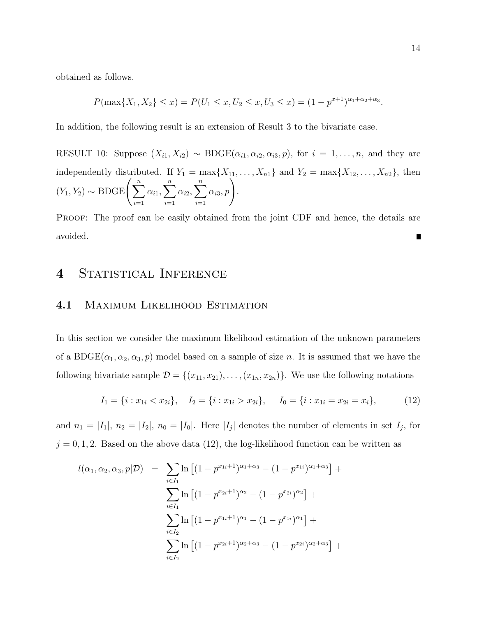obtained as follows.

$$
P(\max\{X_1, X_2\} \le x) = P(U_1 \le x, U_2 \le x, U_3 \le x) = (1 - p^{x+1})^{\alpha_1 + \alpha_2 + \alpha_3}.
$$

In addition, the following result is an extension of Result 3 to the bivariate case.

RESULT 10: Suppose  $(X_{i1}, X_{i2}) \sim \text{BDGE}(\alpha_{i1}, \alpha_{i2}, \alpha_{i3}, p)$ , for  $i = 1, \ldots, n$ , and they are independently distributed. If  $Y_1 = \max\{X_{11}, \ldots, X_{n1}\}\$ and  $Y_2 = \max\{X_{12}, \ldots, X_{n2}\}\$ , then  $(Y_1, Y_2) \sim \text{BDGE} \bigg(\sum_{n=1}^n Y_n\bigg)$  $i=1$  $\alpha_{i1}, \sum^{n}$  $i=1$  $\alpha_{i2}, \sum^{n}$  $i=1$  $\alpha_{i3}, p$ .

PROOF: The proof can be easily obtained from the joint CDF and hence, the details are avoided. П

## 4 STATISTICAL INFERENCE

#### 4.1 Maximum Likelihood Estimation

In this section we consider the maximum likelihood estimation of the unknown parameters of a BDGE( $\alpha_1, \alpha_2, \alpha_3, p$ ) model based on a sample of size n. It is assumed that we have the following bivariate sample  $\mathcal{D} = \{(x_{11}, x_{21}), \ldots, (x_{1n}, x_{2n})\}$ . We use the following notations

$$
I_1 = \{i : x_{1i} < x_{2i}\}, \quad I_2 = \{i : x_{1i} > x_{2i}\}, \quad I_0 = \{i : x_{1i} = x_{2i} = x_i\}, \tag{12}
$$

and  $n_1 = |I_1|, n_2 = |I_2|, n_0 = |I_0|$ . Here  $|I_j|$  denotes the number of elements in set  $I_j$ , for  $j = 0, 1, 2$ . Based on the above data (12), the log-likelihood function can be written as

$$
l(\alpha_1, \alpha_2, \alpha_3, p | \mathcal{D}) = \sum_{i \in I_1} \ln \left[ (1 - p^{x_{1i}+1})^{\alpha_1 + \alpha_3} - (1 - p^{x_{1i}})^{\alpha_1 + \alpha_3} \right] +
$$
  

$$
\sum_{i \in I_1} \ln \left[ (1 - p^{x_{2i}+1})^{\alpha_2} - (1 - p^{x_{2i}})^{\alpha_2} \right] +
$$
  

$$
\sum_{i \in I_2} \ln \left[ (1 - p^{x_{1i}+1})^{\alpha_1} - (1 - p^{x_{1i}})^{\alpha_1} \right] +
$$
  

$$
\sum_{i \in I_2} \ln \left[ (1 - p^{x_{2i}+1})^{\alpha_2 + \alpha_3} - (1 - p^{x_{2i}})^{\alpha_2 + \alpha_3} \right] +
$$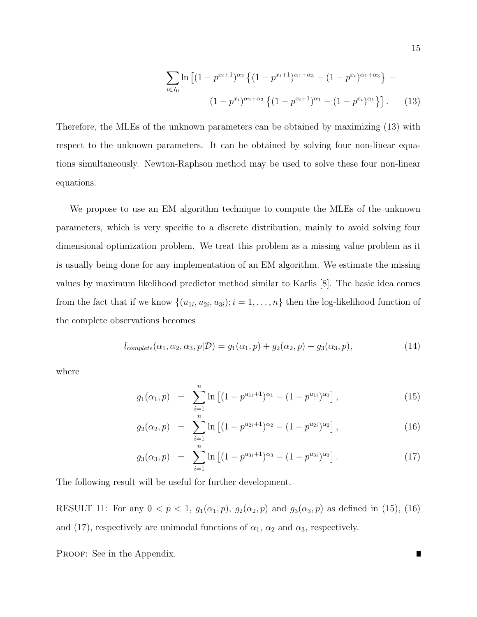$$
\sum_{i \in I_0} \ln \left[ (1 - p^{x_i + 1})^{\alpha_2} \left\{ (1 - p^{x_i + 1})^{\alpha_1 + \alpha_3} - (1 - p^{x_i})^{\alpha_1 + \alpha_3} \right\} - (1 - p^{x_i})^{\alpha_2 + \alpha_3} \left\{ (1 - p^{x_i + 1})^{\alpha_1} - (1 - p^{x_i})^{\alpha_1} \right\} \right].
$$
 (13)

Therefore, the MLEs of the unknown parameters can be obtained by maximizing (13) with respect to the unknown parameters. It can be obtained by solving four non-linear equations simultaneously. Newton-Raphson method may be used to solve these four non-linear equations.

We propose to use an EM algorithm technique to compute the MLEs of the unknown parameters, which is very specific to a discrete distribution, mainly to avoid solving four dimensional optimization problem. We treat this problem as a missing value problem as it is usually being done for any implementation of an EM algorithm. We estimate the missing values by maximum likelihood predictor method similar to Karlis [8]. The basic idea comes from the fact that if we know  $\{(u_{1i}, u_{2i}, u_{3i}); i = 1, \ldots, n\}$  then the log-likelihood function of the complete observations becomes

$$
l_{complete}(\alpha_1, \alpha_2, \alpha_3, p | \mathcal{D}) = g_1(\alpha_1, p) + g_2(\alpha_2, p) + g_3(\alpha_3, p), \qquad (14)
$$

where

$$
g_1(\alpha_1, p) = \sum_{i=1}^n \ln \left[ (1 - p^{u_{1i}+1})^{\alpha_1} - (1 - p^{u_{1i}})^{\alpha_1} \right], \tag{15}
$$

$$
g_2(\alpha_2, p) = \sum_{i=1}^n \ln \left[ (1 - p^{u_{2i}+1})^{\alpha_2} - (1 - p^{u_{2i}})^{\alpha_2} \right],
$$
 (16)

$$
g_3(\alpha_3, p) = \sum_{i=1}^n \ln \left[ (1 - p^{u_{3i}+1})^{\alpha_3} - (1 - p^{u_{3i}})^{\alpha_3} \right]. \tag{17}
$$

The following result will be useful for further development.

RESULT 11: For any  $0 < p < 1$ ,  $g_1(\alpha_1, p)$ ,  $g_2(\alpha_2, p)$  and  $g_3(\alpha_3, p)$  as defined in (15), (16) and (17), respectively are unimodal functions of  $\alpha_1$ ,  $\alpha_2$  and  $\alpha_3$ , respectively.

PROOF: See in the Appendix.

 $\blacksquare$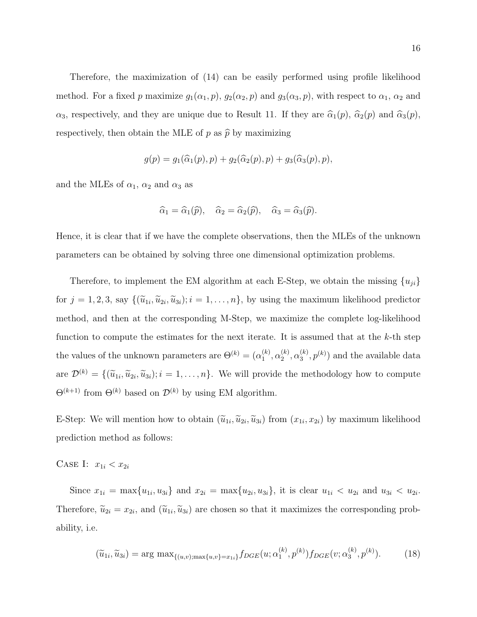Therefore, the maximization of (14) can be easily performed using profile likelihood method. For a fixed p maximize  $g_1(\alpha_1, p)$ ,  $g_2(\alpha_2, p)$  and  $g_3(\alpha_3, p)$ , with respect to  $\alpha_1$ ,  $\alpha_2$  and  $\alpha_3$ , respectively, and they are unique due to Result 11. If they are  $\hat{\alpha}_1(p)$ ,  $\hat{\alpha}_2(p)$  and  $\hat{\alpha}_3(p)$ , respectively, then obtain the MLE of p as  $\hat{p}$  by maximizing

$$
g(p) = g_1(\widehat{\alpha}_1(p), p) + g_2(\widehat{\alpha}_2(p), p) + g_3(\widehat{\alpha}_3(p), p),
$$

and the MLEs of  $\alpha_1$ ,  $\alpha_2$  and  $\alpha_3$  as

$$
\widehat{\alpha}_1 = \widehat{\alpha}_1(\widehat{p}), \quad \widehat{\alpha}_2 = \widehat{\alpha}_2(\widehat{p}), \quad \widehat{\alpha}_3 = \widehat{\alpha}_3(\widehat{p}).
$$

Hence, it is clear that if we have the complete observations, then the MLEs of the unknown parameters can be obtained by solving three one dimensional optimization problems.

Therefore, to implement the EM algorithm at each E-Step, we obtain the missing  $\{u_{ji}\}$ for  $j = 1, 2, 3$ , say  $\{(\tilde{u}_{1i}, \tilde{u}_{2i}, \tilde{u}_{3i}); i = 1, \ldots, n\}$ , by using the maximum likelihood predictor method, and then at the corresponding M-Step, we maximize the complete log-likelihood function to compute the estimates for the next iterate. It is assumed that at the  $k$ -th step the values of the unknown parameters are  $\Theta^{(k)} = (\alpha_1^{(k)})$  $\mathbf{a}_1^{(k)},\mathbf{\alpha}_2^{(k)}$  $\mathcal{L}_2^{(k)},\mathcal{L}_3^{(k)}$  $\binom{k}{3}$ ,  $p^{(k)}$  and the available data are  $\mathcal{D}^{(k)} = \{(\tilde{u}_{1i}, \tilde{u}_{2i}, \tilde{u}_{3i}); i = 1, \ldots, n\}$ . We will provide the methodology how to compute  $\Theta^{(k+1)}$  from  $\Theta^{(k)}$  based on  $\mathcal{D}^{(k)}$  by using EM algorithm.

E-Step: We will mention how to obtain  $(\tilde{u}_{1i}, \tilde{u}_{2i}, \tilde{u}_{3i})$  from  $(x_{1i}, x_{2i})$  by maximum likelihood prediction method as follows:

CASE I:  $x_{1i} < x_{2i}$ 

Since  $x_{1i} = \max\{u_{1i}, u_{3i}\}\$  and  $x_{2i} = \max\{u_{2i}, u_{3i}\}\$ , it is clear  $u_{1i} < u_{2i}$  and  $u_{3i} < u_{2i}$ . Therefore,  $\tilde{u}_{2i} = x_{2i}$ , and  $(\tilde{u}_{1i}, \tilde{u}_{3i})$  are chosen so that it maximizes the corresponding probability, i.e.

$$
(\widetilde{u}_{1i}, \widetilde{u}_{3i}) = \arg \max_{\{(u,v): \max\{u,v\} = x_{1i}\}} f_{DGE}(u; \alpha_1^{(k)}, p^{(k)}) f_{DGE}(v; \alpha_3^{(k)}, p^{(k)}).
$$
(18)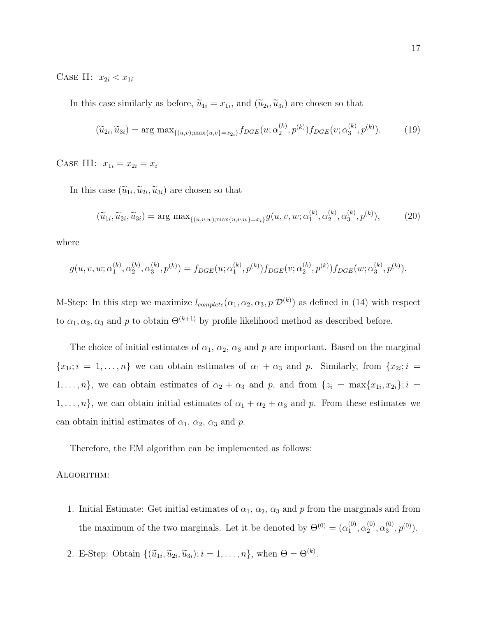CASE II:  $x_{2i} < x_{1i}$ 

In this case similarly as before,  $\tilde{u}_{1i} = x_{1i}$ , and  $(\tilde{u}_{2i}, \tilde{u}_{3i})$  are chosen so that

$$
(\widetilde{u}_{2i}, \widetilde{u}_{3i}) = \arg \max_{\{(u,v): \max\{u,v\} = x_{2i}\}} f_{DGE}(u; \alpha_2^{(k)}, p^{(k)}) f_{DGE}(v; \alpha_3^{(k)}, p^{(k)}).
$$
(19)

CASE III:  $x_{1i} = x_{2i} = x_i$ 

In this case  $(\tilde{u}_{1i}, \tilde{u}_{2i}, \tilde{u}_{3i})$  are chosen so that

$$
(\widetilde{u}_{1i}, \widetilde{u}_{2i}, \widetilde{u}_{3i}) = \arg \max_{\{(u,v,w): \max\{u,v,w\} = x_i\}} g(u,v,w; \alpha_1^{(k)}, \alpha_2^{(k)}, \alpha_3^{(k)}, p^{(k)}), \tag{20}
$$

where

$$
g(u, v, w; \alpha_1^{(k)}, \alpha_2^{(k)}, \alpha_3^{(k)}, p^{(k)}) = f_{DGE}(u; \alpha_1^{(k)}, p^{(k)}) f_{DGE}(v; \alpha_2^{(k)}, p^{(k)}) f_{DGE}(w; \alpha_3^{(k)}, p^{(k)}).
$$

M-Step: In this step we maximize  $l_{complete}(\alpha_1, \alpha_2, \alpha_3, p | \mathcal{D}^{(k)})$  as defined in (14) with respect to  $\alpha_1, \alpha_2, \alpha_3$  and p to obtain  $\Theta^{(k+1)}$  by profile likelihood method as described before.

The choice of initial estimates of  $\alpha_1, \alpha_2, \alpha_3$  and p are important. Based on the marginal  ${x_{1i}}$ ;  $i = 1,...,n$  we can obtain estimates of  $\alpha_1 + \alpha_3$  and p. Similarly, from  ${x_{2i}}$ ;  $i =$  $1, \ldots, n$ , we can obtain estimates of  $\alpha_2 + \alpha_3$  and p, and from  $\{z_i = \max\{x_{1i}, x_{2i}\}; i =$  $1, \ldots, n$ , we can obtain initial estimates of  $\alpha_1 + \alpha_2 + \alpha_3$  and p. From these estimates we can obtain initial estimates of  $\alpha_1$ ,  $\alpha_2$ ,  $\alpha_3$  and p.

Therefore, the EM algorithm can be implemented as follows:

#### Algorithm:

- 1. Initial Estimate: Get initial estimates of  $\alpha_1$ ,  $\alpha_2$ ,  $\alpha_3$  and p from the marginals and from the maximum of the two marginals. Let it be denoted by  $\Theta^{(0)} = (\alpha_1^{(0)})$  $\overset{(0)}{1}, \overset{(0)}{\alpha_2^{(0)}}$  $\overset{(0)}{2}, \overset{(0)}{\alpha_3^{(0)}}$  $\binom{0}{3}, p^{(0)}$ .
- 2. E-Step: Obtain  $\{(\tilde{u}_{1i}, \tilde{u}_{2i}, \tilde{u}_{3i}); i = 1, \ldots, n\}$ , when  $\Theta = \Theta^{(k)}$ .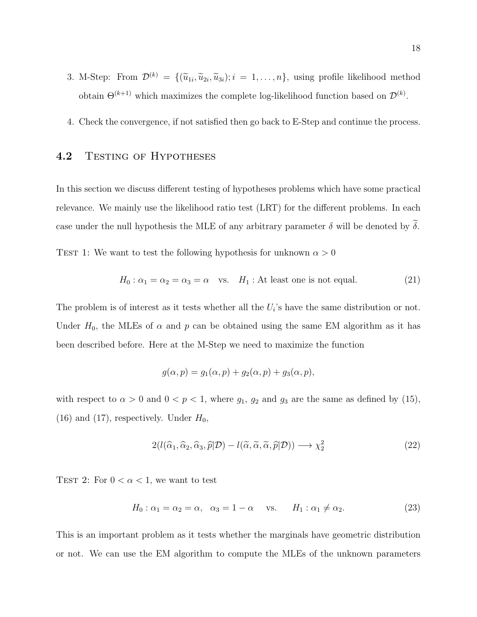- 3. M-Step: From  $\mathcal{D}^{(k)} = \{(\tilde{u}_{1i}, \tilde{u}_{2i}, \tilde{u}_{3i}); i = 1, \ldots, n\}$ , using profile likelihood method obtain  $\Theta^{(k+1)}$  which maximizes the complete log-likelihood function based on  $\mathcal{D}^{(k)}$ .
- 4. Check the convergence, if not satisfied then go back to E-Step and continue the process.

### 4.2 TESTING OF HYPOTHESES

In this section we discuss different testing of hypotheses problems which have some practical relevance. We mainly use the likelihood ratio test (LRT) for the different problems. In each case under the null hypothesis the MLE of any arbitrary parameter  $\delta$  will be denoted by  $\widetilde{\delta}$ .

TEST 1: We want to test the following hypothesis for unknown  $\alpha > 0$ 

$$
H_0: \alpha_1 = \alpha_2 = \alpha_3 = \alpha \quad \text{vs.} \quad H_1: \text{At least one is not equal.} \tag{21}
$$

The problem is of interest as it tests whether all the  $U_i$ 's have the same distribution or not. Under  $H_0$ , the MLEs of  $\alpha$  and  $p$  can be obtained using the same EM algorithm as it has been described before. Here at the M-Step we need to maximize the function

$$
g(\alpha, p) = g_1(\alpha, p) + g_2(\alpha, p) + g_3(\alpha, p),
$$

with respect to  $\alpha > 0$  and  $0 < p < 1$ , where  $g_1, g_2$  and  $g_3$  are the same as defined by (15), (16) and (17), respectively. Under  $H_0$ ,

$$
2(l(\widehat{\alpha}_1, \widehat{\alpha}_2, \widehat{\alpha}_3, \widehat{p}|\mathcal{D}) - l(\widetilde{\alpha}, \widetilde{\alpha}, \widetilde{\alpha}, \widehat{p}|\mathcal{D})) \longrightarrow \chi^2_2
$$
\n(22)

TEST 2: For  $0 < \alpha < 1$ , we want to test

$$
H_0: \alpha_1 = \alpha_2 = \alpha, \quad \alpha_3 = 1 - \alpha \quad \text{vs.} \quad H_1: \alpha_1 \neq \alpha_2. \tag{23}
$$

This is an important problem as it tests whether the marginals have geometric distribution or not. We can use the EM algorithm to compute the MLEs of the unknown parameters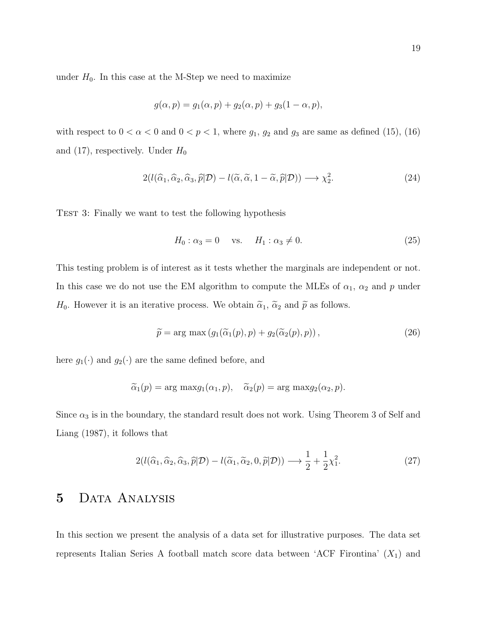under  $H_0$ . In this case at the M-Step we need to maximize

$$
g(\alpha, p) = g_1(\alpha, p) + g_2(\alpha, p) + g_3(1 - \alpha, p),
$$

with respect to  $0 < \alpha < 0$  and  $0 < p < 1$ , where  $g_1, g_2$  and  $g_3$  are same as defined (15), (16) and (17), respectively. Under  $H_0$ 

$$
2(l(\widehat{\alpha}_1, \widehat{\alpha}_2, \widehat{\alpha}_3, \widehat{p}|\mathcal{D}) - l(\widetilde{\alpha}, \widetilde{\alpha}, 1 - \widetilde{\alpha}, \widehat{p}|\mathcal{D})) \longrightarrow \chi_2^2.
$$
 (24)

TEST 3: Finally we want to test the following hypothesis

$$
H_0: \alpha_3 = 0 \quad \text{vs.} \quad H_1: \alpha_3 \neq 0. \tag{25}
$$

This testing problem is of interest as it tests whether the marginals are independent or not. In this case we do not use the EM algorithm to compute the MLEs of  $\alpha_1$ ,  $\alpha_2$  and p under  $H_0$ . However it is an iterative process. We obtain  $\tilde{\alpha}_1$ ,  $\tilde{\alpha}_2$  and  $\tilde{p}$  as follows.

$$
\widetilde{p} = \arg \max \left( g_1(\widetilde{\alpha}_1(p), p) + g_2(\widetilde{\alpha}_2(p), p) \right),\tag{26}
$$

here  $g_1(\cdot)$  and  $g_2(\cdot)$  are the same defined before, and

$$
\widetilde{\alpha}_1(p) = \arg \max g_1(\alpha_1, p), \quad \widetilde{\alpha}_2(p) = \arg \max g_2(\alpha_2, p).
$$

Since  $\alpha_3$  is in the boundary, the standard result does not work. Using Theorem 3 of Self and Liang (1987), it follows that

$$
2(l(\widehat{\alpha}_1, \widehat{\alpha}_2, \widehat{\alpha}_3, \widehat{p}|\mathcal{D}) - l(\widetilde{\alpha}_1, \widetilde{\alpha}_2, 0, \widetilde{p}|\mathcal{D})) \longrightarrow \frac{1}{2} + \frac{1}{2}\chi_1^2.
$$
 (27)

## 5 Data Analysis

In this section we present the analysis of a data set for illustrative purposes. The data set represents Italian Series A football match score data between 'ACF Firontina'  $(X_1)$  and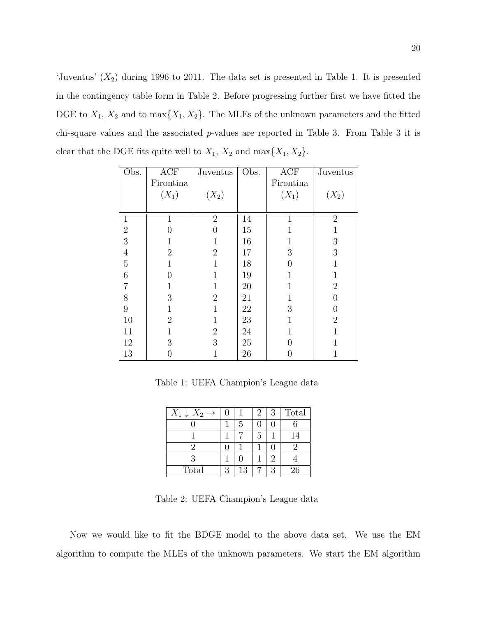'Juventus'  $(X_2)$  during 1996 to 2011. The data set is presented in Table 1. It is presented in the contingency table form in Table 2. Before progressing further first we have fitted the DGE to  $X_1$ ,  $X_2$  and to  $\max\{X_1, X_2\}$ . The MLEs of the unknown parameters and the fitted chi-square values and the associated p-values are reported in Table 3. From Table 3 it is clear that the DGE fits quite well to  $X_1$ ,  $X_2$  and  $\max\{X_1, X_2\}$ .

| Obs.           | ACF            | Juventus       | Obs. | <b>ACF</b>       | Juventus       |
|----------------|----------------|----------------|------|------------------|----------------|
|                | Firontina      |                |      | Firontina        |                |
|                | $(X_1)$        | $(X_2)$        |      | $(X_1)$          | $(X_2)$        |
|                |                |                |      |                  |                |
| $\mathbf{1}$   | $\mathbf 1$    | $\overline{2}$ | 14   | $\overline{1}$   | $\overline{2}$ |
| $\sqrt{2}$     | 0              | 0              | 15   |                  | 1              |
| 3              |                | 1              | 16   | 1                | $\sqrt{3}$     |
| $\overline{4}$ | $\overline{2}$ | $\overline{2}$ | 17   | $\boldsymbol{3}$ | 3              |
| $\mathbf 5$    | 1              | 1              | 18   | $\overline{0}$   | $\mathbf{1}$   |
| $\,$ 6 $\,$    | $\theta$       | $\mathbf 1$    | 19   | 1                | $\mathbf 1$    |
| $\overline{7}$ | $\mathbf{1}$   | 1              | 20   | 1                | $\sqrt{2}$     |
| $8\,$          | 3              | $\mathbf{2}$   | 21   | 1                | $\overline{0}$ |
| $\overline{9}$ | 1              | 1              | 22   | 3                | $\overline{0}$ |
| 10             | $\overline{2}$ | 1              | 23   | 1                | $\overline{2}$ |
| 11             | 1              | $\sqrt{2}$     | 24   | 1                | 1              |
| 12             | 3              | 3              | 25   | $\overline{0}$   | 1              |
| 13             | 0              | $\mathbf 1$    | 26   | $\overline{0}$   | $\mathbf 1$    |

Table 1: UEFA Champion's League data

| $X_1 \downarrow X_2 \rightarrow$ | U |    | 2 | 3         | Total |
|----------------------------------|---|----|---|-----------|-------|
|                                  |   | 5  |   |           |       |
|                                  |   |    | 5 |           | 14    |
| '2                               |   |    |   |           |       |
| 3                                |   |    |   | $\dot{2}$ |       |
| Total                            | 3 | 13 |   | 3         | 26    |

Table 2: UEFA Champion's League data

Now we would like to fit the BDGE model to the above data set. We use the EM algorithm to compute the MLEs of the unknown parameters. We start the EM algorithm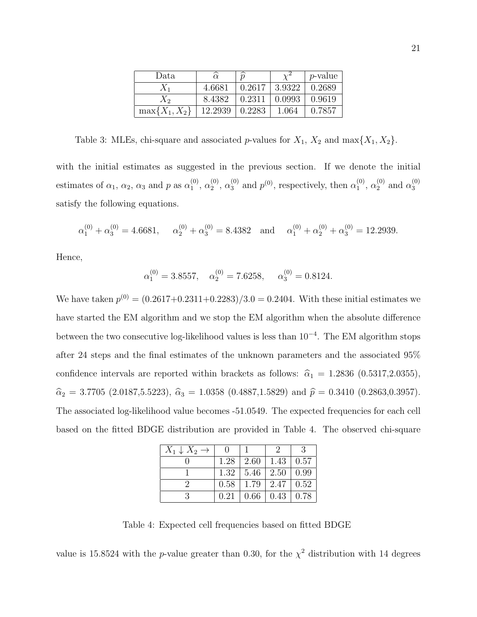| Data               |         | $\widehat{p}$ |        | <i>p</i> -value |
|--------------------|---------|---------------|--------|-----------------|
| $X_1$              | 4.6681  | 0.2617        | 3.9322 | 0.2689          |
| $X_{2}$            | 8.4382  | 0.2311        | 0.0993 | 0.9619          |
| $\max\{X_1, X_2\}$ | 12.2939 | 0.2283        | 1.064  | 0.7857          |

Table 3: MLEs, chi-square and associated p-values for  $X_1$ ,  $X_2$  and max $\{X_1, X_2\}$ .

with the initial estimates as suggested in the previous section. If we denote the initial estimates of  $\alpha_1, \alpha_2, \alpha_3$  and p as  $\alpha_1^{(0)}$  $\binom{0}{1}, \alpha_2^{(0)}$  $\alpha_2^{(0)}, \alpha_3^{(0)}$  $_3^{(0)}$  and  $p^{(0)}$ , respectively, then  $\alpha_1^{(0)}$  $\binom{0}{1}, \alpha_2^{(0)}$  $_2^{(0)}$  and  $\alpha_3^{(0)}$ 3 satisfy the following equations.

$$
\alpha_1^{(0)} + \alpha_3^{(0)} = 4.6681
$$
,  $\alpha_2^{(0)} + \alpha_3^{(0)} = 8.4382$  and  $\alpha_1^{(0)} + \alpha_2^{(0)} + \alpha_3^{(0)} = 12.2939$ .

Hence,

$$
\alpha_1^{(0)} = 3.8557
$$
,  $\alpha_2^{(0)} = 7.6258$ ,  $\alpha_3^{(0)} = 0.8124$ .

We have taken  $p^{(0)} = (0.2617 + 0.2311 + 0.2283)/3.0 = 0.2404$ . With these initial estimates we have started the EM algorithm and we stop the EM algorithm when the absolute difference between the two consecutive log-likelihood values is less than 10<sup>−</sup><sup>4</sup> . The EM algorithm stops after 24 steps and the final estimates of the unknown parameters and the associated 95% confidence intervals are reported within brackets as follows:  $\hat{\alpha}_1 = 1.2836 (0.5317, 2.0355)$ ,  $\hat{\alpha}_2 = 3.7705$  (2.0187,5.5223),  $\hat{\alpha}_3 = 1.0358$  (0.4887,1.5829) and  $\hat{p} = 0.3410$  (0.2863,0.3957). The associated log-likelihood value becomes -51.0549. The expected frequencies for each cell based on the fitted BDGE distribution are provided in Table 4. The observed chi-square

| $X_1 \downarrow X_2 \rightarrow$ |      |                      |      | $\mathcal{R}$ |
|----------------------------------|------|----------------------|------|---------------|
|                                  |      | $1.28 \mid 2.60$     | 1.43 | 0.57          |
|                                  |      | $1.32 \mid 5.46$     | 2.50 | 0.99          |
|                                  |      | $0.58$   1.79   2.47 |      | 0.52          |
|                                  | 0.21 | 0.66                 | 0.43 | 0.78          |

Table 4: Expected cell frequencies based on fitted BDGE

value is 15.8524 with the *p*-value greater than 0.30, for the  $\chi^2$  distribution with 14 degrees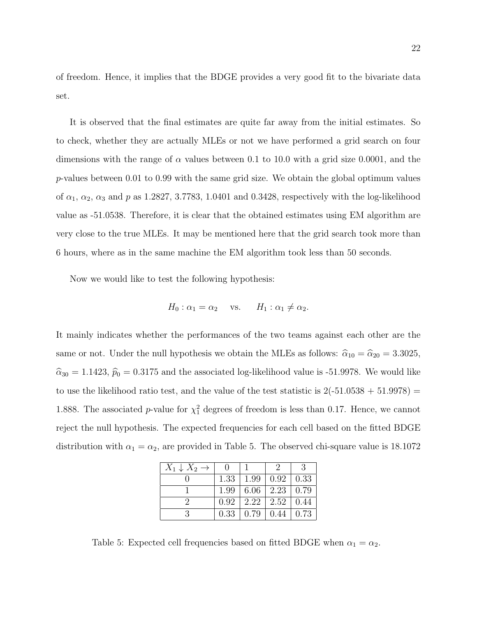of freedom. Hence, it implies that the BDGE provides a very good fit to the bivariate data set.

It is observed that the final estimates are quite far away from the initial estimates. So to check, whether they are actually MLEs or not we have performed a grid search on four dimensions with the range of  $\alpha$  values between 0.1 to 10.0 with a grid size 0.0001, and the p-values between 0.01 to 0.99 with the same grid size. We obtain the global optimum values of  $\alpha_1$ ,  $\alpha_2$ ,  $\alpha_3$  and p as 1.2827, 3.7783, 1.0401 and 0.3428, respectively with the log-likelihood value as -51.0538. Therefore, it is clear that the obtained estimates using EM algorithm are very close to the true MLEs. It may be mentioned here that the grid search took more than 6 hours, where as in the same machine the EM algorithm took less than 50 seconds.

Now we would like to test the following hypothesis:

$$
H_0: \alpha_1 = \alpha_2 \quad \text{vs.} \quad H_1: \alpha_1 \neq \alpha_2.
$$

It mainly indicates whether the performances of the two teams against each other are the same or not. Under the null hypothesis we obtain the MLEs as follows:  $\hat{\alpha}_{10} = \hat{\alpha}_{20} = 3.3025$ ,  $\hat{\alpha}_{30} = 1.1423$ ,  $\hat{p}_0 = 0.3175$  and the associated log-likelihood value is -51.9978. We would like to use the likelihood ratio test, and the value of the test statistic is  $2(-51.0538 + 51.9978)$  = 1.888. The associated *p*-value for  $\chi_1^2$  degrees of freedom is less than 0.17. Hence, we cannot reject the null hypothesis. The expected frequencies for each cell based on the fitted BDGE distribution with  $\alpha_1 = \alpha_2$ , are provided in Table 5. The observed chi-square value is 18.1072

| $X_1 \downarrow X_2 \rightarrow$ |      |      |                  | 3    |
|----------------------------------|------|------|------------------|------|
|                                  | 1.33 | 1.99 | 0.92             | 0.33 |
|                                  | 1.99 | 6.06 | 2.23             | 0.79 |
|                                  | 0.92 |      | $2.22 \mid 2.52$ | 0.44 |
|                                  | 0.33 | 0.79 | 0.44             | 0.73 |

Table 5: Expected cell frequencies based on fitted BDGE when  $\alpha_1 = \alpha_2$ .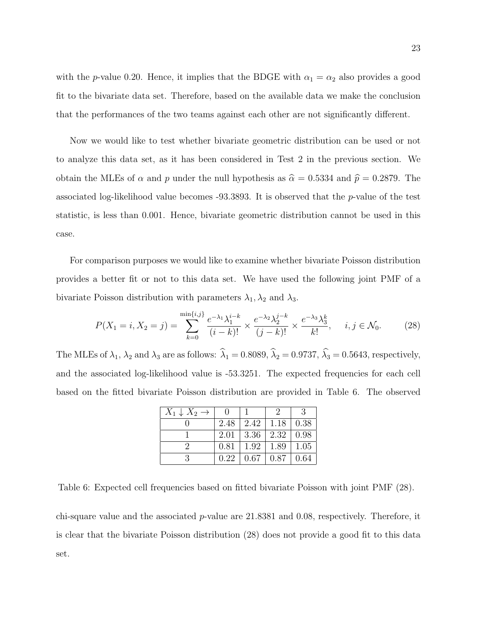with the p-value 0.20. Hence, it implies that the BDGE with  $\alpha_1 = \alpha_2$  also provides a good fit to the bivariate data set. Therefore, based on the available data we make the conclusion that the performances of the two teams against each other are not significantly different.

Now we would like to test whether bivariate geometric distribution can be used or not to analyze this data set, as it has been considered in Test 2 in the previous section. We obtain the MLEs of  $\alpha$  and  $p$  under the null hypothesis as  $\hat{\alpha} = 0.5334$  and  $\hat{p} = 0.2879$ . The associated log-likelihood value becomes  $-93.3893$ . It is observed that the p-value of the test statistic, is less than 0.001. Hence, bivariate geometric distribution cannot be used in this case.

For comparison purposes we would like to examine whether bivariate Poisson distribution provides a better fit or not to this data set. We have used the following joint PMF of a bivariate Poisson distribution with parameters  $\lambda_1, \lambda_2$  and  $\lambda_3$ .

$$
P(X_1 = i, X_2 = j) = \sum_{k=0}^{\min\{i,j\}} \frac{e^{-\lambda_1} \lambda_1^{i-k}}{(i-k)!} \times \frac{e^{-\lambda_2} \lambda_2^{j-k}}{(j-k)!} \times \frac{e^{-\lambda_3} \lambda_3^k}{k!}, \quad i, j \in \mathcal{N}_0. \tag{28}
$$

The MLEs of  $\lambda_1$ ,  $\lambda_2$  and  $\lambda_3$  are as follows:  $\hat{\lambda}_1 = 0.8089$ ,  $\hat{\lambda}_2 = 0.9737$ ,  $\hat{\lambda}_3 = 0.5643$ , respectively, and the associated log-likelihood value is -53.3251. The expected frequencies for each cell based on the fitted bivariate Poisson distribution are provided in Table 6. The observed

| $X_1 \downarrow X_2 \rightarrow$ |      |                    |      | 3    |
|----------------------------------|------|--------------------|------|------|
|                                  | 2.48 | 2.42               | 1.18 | 0.38 |
|                                  | 2.01 | $\vert 3.36 \vert$ | 2.32 | 0.98 |
|                                  | 0.81 | 1.92               | 1.89 | 1.05 |
|                                  | 0.22 | 0.67               | 0.87 | 0.64 |

Table 6: Expected cell frequencies based on fitted bivariate Poisson with joint PMF (28).

chi-square value and the associated p-value are 21.8381 and 0.08, respectively. Therefore, it is clear that the bivariate Poisson distribution (28) does not provide a good fit to this data set.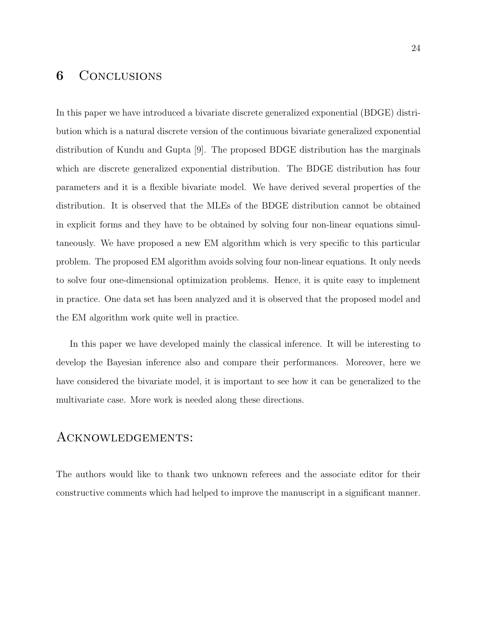# **6** CONCLUSIONS

In this paper we have introduced a bivariate discrete generalized exponential (BDGE) distribution which is a natural discrete version of the continuous bivariate generalized exponential distribution of Kundu and Gupta [9]. The proposed BDGE distribution has the marginals which are discrete generalized exponential distribution. The BDGE distribution has four parameters and it is a flexible bivariate model. We have derived several properties of the distribution. It is observed that the MLEs of the BDGE distribution cannot be obtained in explicit forms and they have to be obtained by solving four non-linear equations simultaneously. We have proposed a new EM algorithm which is very specific to this particular problem. The proposed EM algorithm avoids solving four non-linear equations. It only needs to solve four one-dimensional optimization problems. Hence, it is quite easy to implement in practice. One data set has been analyzed and it is observed that the proposed model and the EM algorithm work quite well in practice.

In this paper we have developed mainly the classical inference. It will be interesting to develop the Bayesian inference also and compare their performances. Moreover, here we have considered the bivariate model, it is important to see how it can be generalized to the multivariate case. More work is needed along these directions.

### Acknowledgements:

The authors would like to thank two unknown referees and the associate editor for their constructive comments which had helped to improve the manuscript in a significant manner.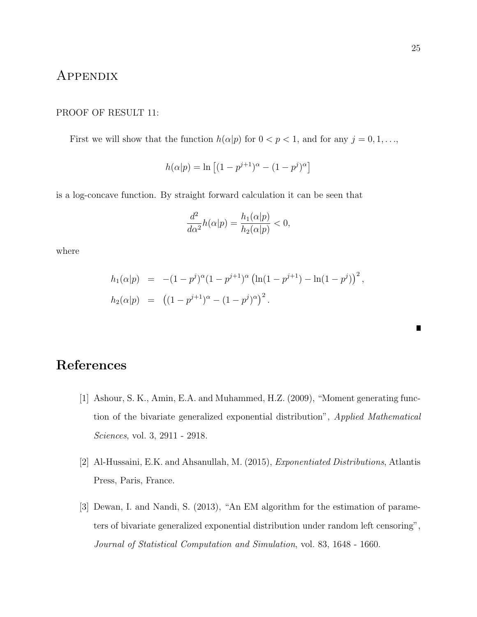### Appendix

#### PROOF OF RESULT 11:

First we will show that the function  $h(\alpha|p)$  for  $0 < p < 1$ , and for any  $j = 0, 1, \ldots$ ,

$$
h(\alpha|p) = \ln \left[ (1 - p^{j+1})^{\alpha} - (1 - p^j)^{\alpha} \right]
$$

is a log-concave function. By straight forward calculation it can be seen that

$$
\frac{d^2}{d\alpha^2}h(\alpha|p) = \frac{h_1(\alpha|p)}{h_2(\alpha|p)} < 0,
$$

where

$$
h_1(\alpha|p) = -(1-p^j)^{\alpha}(1-p^{j+1})^{\alpha} (\ln(1-p^{j+1}) - \ln(1-p^j))^2,
$$
  
\n
$$
h_2(\alpha|p) = ((1-p^{j+1})^{\alpha} - (1-p^j)^{\alpha})^2.
$$

- [1] Ashour, S. K., Amin, E.A. and Muhammed, H.Z. (2009), "Moment generating function of the bivariate generalized exponential distribution", Applied Mathematical Sciences, vol. 3, 2911 - 2918.
- [2] Al-Hussaini, E.K. and Ahsanullah, M. (2015), Exponentiated Distributions, Atlantis Press, Paris, France.
- [3] Dewan, I. and Nandi, S. (2013), "An EM algorithm for the estimation of parameters of bivariate generalized exponential distribution under random left censoring", Journal of Statistical Computation and Simulation, vol. 83, 1648 - 1660.

П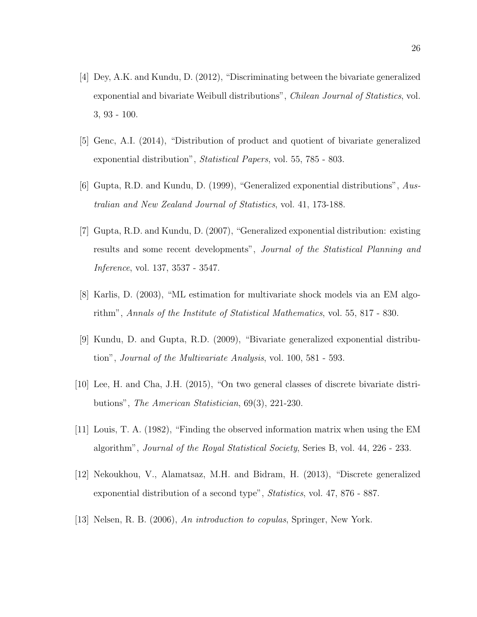- [4] Dey, A.K. and Kundu, D. (2012), "Discriminating between the bivariate generalized exponential and bivariate Weibull distributions", Chilean Journal of Statistics, vol. 3, 93 - 100.
- [5] Genc, A.I. (2014), "Distribution of product and quotient of bivariate generalized exponential distribution", Statistical Papers, vol. 55, 785 - 803.
- [6] Gupta, R.D. and Kundu, D. (1999), "Generalized exponential distributions", Australian and New Zealand Journal of Statistics, vol. 41, 173-188.
- [7] Gupta, R.D. and Kundu, D. (2007), "Generalized exponential distribution: existing results and some recent developments", Journal of the Statistical Planning and Inference, vol. 137, 3537 - 3547.
- [8] Karlis, D. (2003), "ML estimation for multivariate shock models via an EM algorithm", Annals of the Institute of Statistical Mathematics, vol. 55, 817 - 830.
- [9] Kundu, D. and Gupta, R.D. (2009), "Bivariate generalized exponential distribution", Journal of the Multivariate Analysis, vol. 100, 581 - 593.
- [10] Lee, H. and Cha, J.H. (2015), "On two general classes of discrete bivariate distributions", The American Statistician, 69(3), 221-230.
- [11] Louis, T. A. (1982), "Finding the observed information matrix when using the EM algorithm", Journal of the Royal Statistical Society, Series B, vol. 44, 226 - 233.
- [12] Nekoukhou, V., Alamatsaz, M.H. and Bidram, H. (2013), "Discrete generalized exponential distribution of a second type", Statistics, vol. 47, 876 - 887.
- [13] Nelsen, R. B. (2006), An introduction to copulas, Springer, New York.